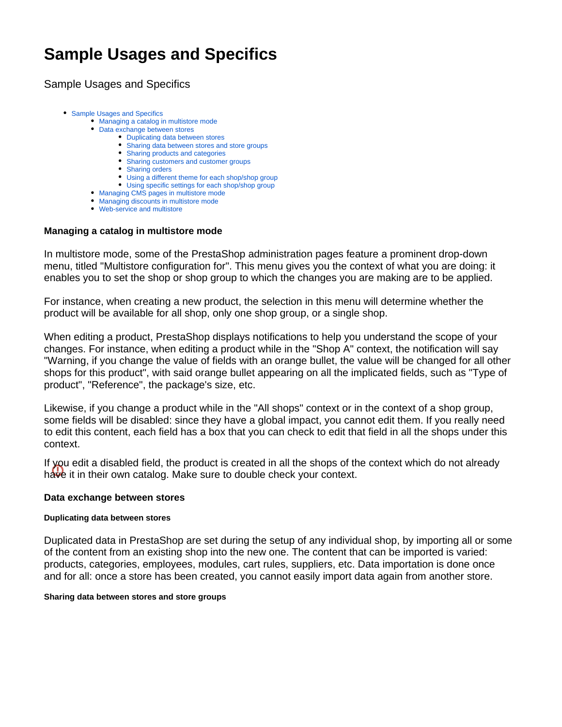# **Sample Usages and Specifics**

<span id="page-0-0"></span>Sample Usages and Specifics

- [Sample Usages and Specifics](#page-0-0)
	- [Managing a catalog in multistore mode](#page-0-1)
	- [Data exchange between stores](#page-0-2)
		- [Duplicating data between stores](#page-0-3)
		- [Sharing data between stores and store groups](#page-0-4)
		- [Sharing products and categories](#page-1-0)
		- [Sharing customers and customer groups](#page-1-1)
		- [Sharing orders](#page-1-2)
		- [Using a different theme for each shop/shop group](#page-2-0)
		- [Using specific settings for each shop/shop group](#page-2-1)
	- [Managing CMS pages in multistore mode](#page-2-2)
	- [Managing discounts in multistore mode](#page-2-3)
	- [Web-service and multistore](#page-2-4)

# <span id="page-0-1"></span>**Managing a catalog in multistore mode**

In multistore mode, some of the PrestaShop administration pages feature a prominent drop-down menu, titled "Multistore configuration for". This menu gives you the context of what you are doing: it enables you to set the shop or shop group to which the changes you are making are to be applied.

For instance, when creating a new product, the selection in this menu will determine whether the product will be available for all shop, only one shop group, or a single shop.

When editing a product, PrestaShop displays notifications to help you understand the scope of your changes. For instance, when editing a product while in the "Shop A" context, the notification will say "Warning, if you change the value of fields with an orange bullet, the value will be changed for all other shops for this product", with said orange bullet appearing on all the implicated fields, such as "Type of product", "Reference", the package's size, etc.

Likewise, if you change a product while in the "All shops" context or in the context of a shop group, some fields will be disabled: since they have a global impact, you cannot edit them. If you really need to edit this content, each field has a box that you can check to edit that field in all the shops under this context.

If you edit a disabled field, the product is created in all the shops of the context which do not already have it in their own catalog. Make sure to double check your context.

# <span id="page-0-2"></span>**Data exchange between stores**

## <span id="page-0-3"></span>**Duplicating data between stores**

Duplicated data in PrestaShop are set during the setup of any individual shop, by importing all or some of the content from an existing shop into the new one. The content that can be imported is varied: products, categories, employees, modules, cart rules, suppliers, etc. Data importation is done once and for all: once a store has been created, you cannot easily import data again from another store.

## <span id="page-0-4"></span>**Sharing data between stores and store groups**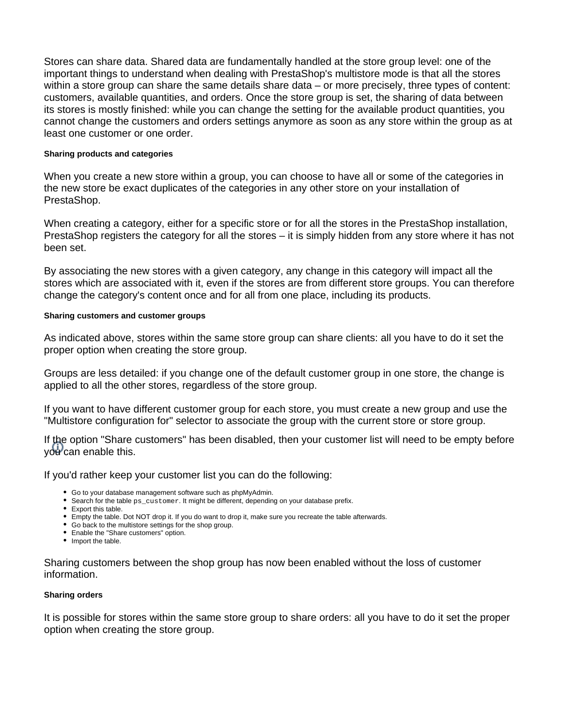Stores can share data. Shared data are fundamentally handled at the store group level: one of the important things to understand when dealing with PrestaShop's multistore mode is that all the stores within a store group can share the same details share data – or more precisely, three types of content: customers, available quantities, and orders. Once the store group is set, the sharing of data between its stores is mostly finished: while you can change the setting for the available product quantities, you cannot change the customers and orders settings anymore as soon as any store within the group as at least one customer or one order.

## <span id="page-1-0"></span>**Sharing products and categories**

When you create a new store within a group, you can choose to have all or some of the categories in the new store be exact duplicates of the categories in any other store on your installation of PrestaShop.

When creating a category, either for a specific store or for all the stores in the PrestaShop installation, PrestaShop registers the category for all the stores – it is simply hidden from any store where it has not been set.

By associating the new stores with a given category, any change in this category will impact all the stores which are associated with it, even if the stores are from different store groups. You can therefore change the category's content once and for all from one place, including its products.

## <span id="page-1-1"></span>**Sharing customers and customer groups**

As indicated above, stores within the same store group can share clients: all you have to do it set the proper option when creating the store group.

Groups are less detailed: if you change one of the default customer group in one store, the change is applied to all the other stores, regardless of the store group.

If you want to have different customer group for each store, you must create a new group and use the "Multistore configuration for" selector to associate the group with the current store or store group.

If the option "Share customers" has been disabled, then your customer list will need to be empty before  $y$  $dy$  can enable this.

If you'd rather keep your customer list you can do the following:

- Go to your database management software such as phpMyAdmin.
- Search for the table ps\_customer. It might be different, depending on your database prefix.
- Export this table.
- Empty the table. Dot NOT drop it. If you do want to drop it, make sure you recreate the table afterwards.
- Go back to the multistore settings for the shop group.
- Enable the "Share customers" option.
- Import the table.

Sharing customers between the shop group has now been enabled without the loss of customer information.

# <span id="page-1-2"></span>**Sharing orders**

It is possible for stores within the same store group to share orders: all you have to do it set the proper option when creating the store group.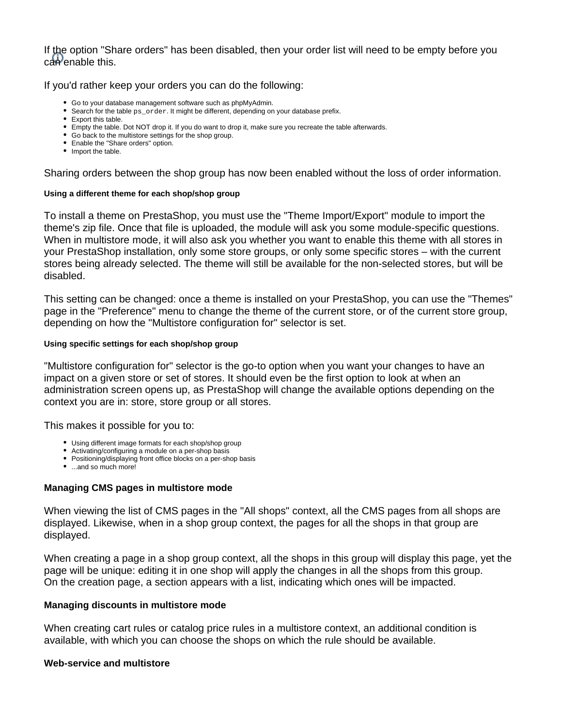If the option "Share orders" has been disabled, then your order list will need to be empty before you  $c$ an enable this.

If you'd rather keep your orders you can do the following:

- Go to your database management software such as phpMyAdmin.
- Search for the table ps\_order. It might be different, depending on your database prefix.
- Export this table.
- Empty the table. Dot NOT drop it. If you do want to drop it, make sure you recreate the table afterwards.
- Go back to the multistore settings for the shop group.
- Enable the "Share orders" option.
- Import the table.

Sharing orders between the shop group has now been enabled without the loss of order information.

## <span id="page-2-0"></span>**Using a different theme for each shop/shop group**

To install a theme on PrestaShop, you must use the "Theme Import/Export" module to import the theme's zip file. Once that file is uploaded, the module will ask you some module-specific questions. When in multistore mode, it will also ask you whether you want to enable this theme with all stores in your PrestaShop installation, only some store groups, or only some specific stores – with the current stores being already selected. The theme will still be available for the non-selected stores, but will be disabled.

This setting can be changed: once a theme is installed on your PrestaShop, you can use the "Themes" page in the "Preference" menu to change the theme of the current store, or of the current store group, depending on how the "Multistore configuration for" selector is set.

## <span id="page-2-1"></span>**Using specific settings for each shop/shop group**

"Multistore configuration for" selector is the go-to option when you want your changes to have an impact on a given store or set of stores. It should even be the first option to look at when an administration screen opens up, as PrestaShop will change the available options depending on the context you are in: store, store group or all stores.

This makes it possible for you to:

- Using different image formats for each shop/shop group
- Activating/configuring a module on a per-shop basis
- Positioning/displaying front office blocks on a per-shop basis
- ...and so much more!

# <span id="page-2-2"></span>**Managing CMS pages in multistore mode**

When viewing the list of CMS pages in the "All shops" context, all the CMS pages from all shops are displayed. Likewise, when in a shop group context, the pages for all the shops in that group are displayed.

When creating a page in a shop group context, all the shops in this group will display this page, yet the page will be unique: editing it in one shop will apply the changes in all the shops from this group. On the creation page, a section appears with a list, indicating which ones will be impacted.

# <span id="page-2-3"></span>**Managing discounts in multistore mode**

When creating cart rules or catalog price rules in a multistore context, an additional condition is available, with which you can choose the shops on which the rule should be available.

# <span id="page-2-4"></span>**Web-service and multistore**